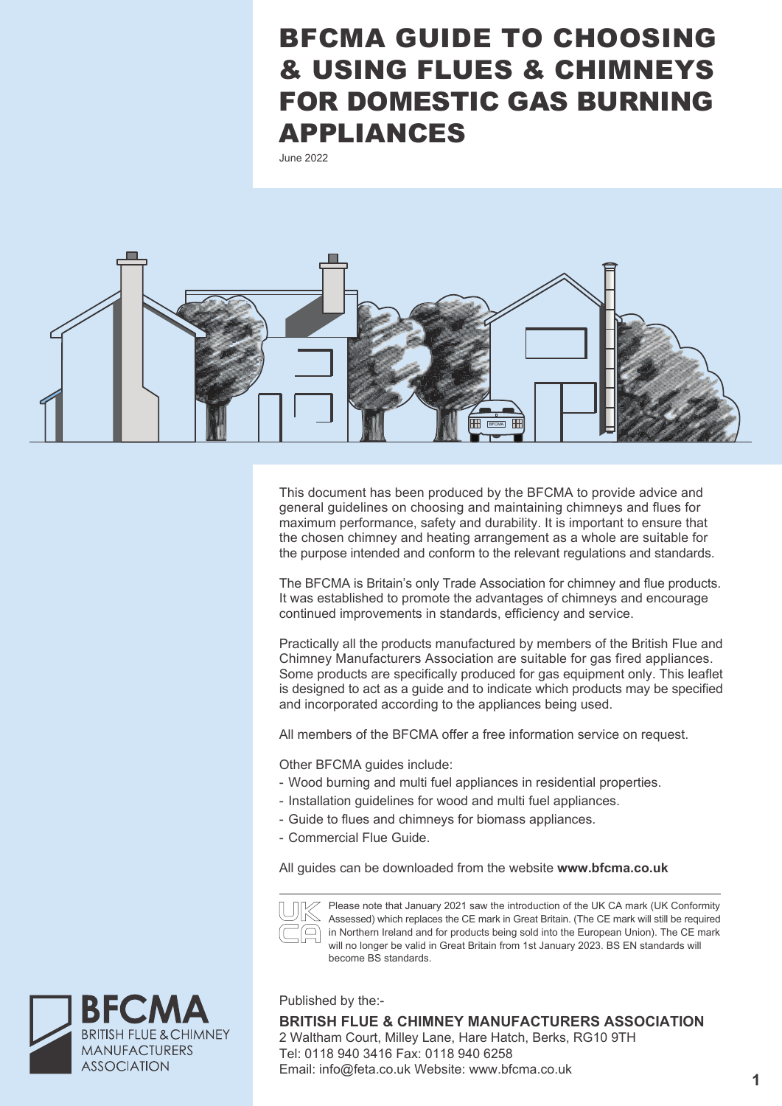# BFCMA GUIDE TO CHOOSING & USING FLUES & CHIMNEYS FOR DOMESTIC GAS BURNING APPLIANCES

June 2022



This document has been produced by the BFCMA to provide advice and general guidelines on choosing and maintaining chimneys and flues for maximum performance, safety and durability. It is important to ensure that the chosen chimney and heating arrangement as a whole are suitable for the purpose intended and conform to the relevant regulations and standards.

The BFCMA is Britain's only Trade Association for chimney and flue products. It was established to promote the advantages of chimneys and encourage continued improvements in standards, efficiency and service.

Practically all the products manufactured by members of the British Flue and Chimney Manufacturers Association are suitable for gas fired appliances. Some products are specifically produced for gas equipment only. This leaflet is designed to act as a guide and to indicate which products may be specified and incorporated according to the appliances being used.

All members of the BFCMA offer a free information service on request.

Other BFCMA guides include:

- Wood burning and multi fuel appliances in residential properties.
- Installation guidelines for wood and multi fuel appliances.
- Guide to flues and chimneys for biomass appliances.
- Commercial Flue Guide.

All guides can be downloaded from the website **www.bfcma.co.uk**



Please note that January 2021 saw the introduction of the UK CA mark (UK Conformity Assessed) which replaces the CE mark in Great Britain. (The CE mark will still be required in Northern Ireland and for products being sold into the European Union). The CE mark will no longer be valid in Great Britain from 1st January 2023. BS EN standards will become BS standards.

Published by the:-

**BRITISH FLUE & CHIMNEY MANUFACTURERS ASSOCIATION** 2 Waltham Court, Milley Lane, Hare Hatch, Berks, RG10 9TH Tel: 0118 940 3416 Fax: 0118 940 6258 Email: info@feta.co.uk Website: www.bfcma.co.uk

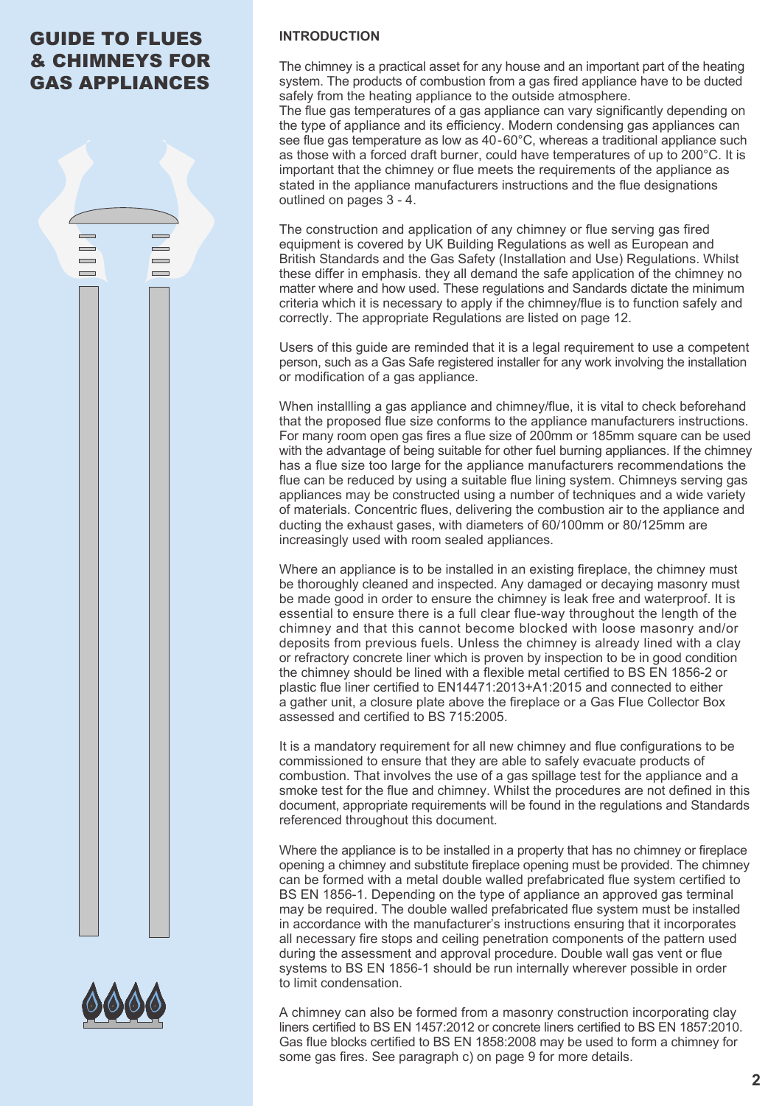# GUIDE TO FLUES & CHIMNEYS FOR GAS APPLIANCES

 $\blacksquare$ 

**Contract**  $\sim$ 

 $\blacksquare$ 

 $\equiv$ 

# **INTRODUCTION**

The chimney is a practical asset for any house and an important part of the heating system. The products of combustion from a gas fired appliance have to be ducted safely from the heating appliance to the outside atmosphere.

The flue gas temperatures of a gas appliance can vary significantly depending on the type of appliance and its efficiency. Modern condensing gas appliances can see flue gas temperature as low as 40-60°C, whereas a traditional appliance such as those with a forced draft burner, could have temperatures of up to 200°C. It is important that the chimney or flue meets the requirements of the appliance as stated in the appliance manufacturers instructions and the flue designations outlined on pages 3 - 4.

The construction and application of any chimney or flue serving gas fired equipment is covered by UK Building Regulations as well as European and British Standards and the Gas Safety (Installation and Use) Regulations. Whilst these differ in emphasis. they all demand the safe application of the chimney no matter where and how used. These regulations and Sandards dictate the minimum criteria which it is necessary to apply if the chimney/flue is to function safely and correctly. The appropriate Regulations are listed on page 12.

Users of this guide are reminded that it is a legal requirement to use a competent person, such as a Gas Safe registered installer for any work involving the installation or modification of a gas appliance.

When installling a gas appliance and chimney/flue, it is vital to check beforehand that the proposed flue size conforms to the appliance manufacturers instructions. For many room open gas fires a flue size of 200mm or 185mm square can be used with the advantage of being suitable for other fuel burning appliances. If the chimney has a flue size too large for the appliance manufacturers recommendations the flue can be reduced by using a suitable flue lining system. Chimneys serving gas appliances may be constructed using a number of techniques and a wide variety of materials. Concentric flues, delivering the combustion air to the appliance and ducting the exhaust gases, with diameters of 60/100mm or 80/125mm are increasingly used with room sealed appliances.

Where an appliance is to be installed in an existing fireplace, the chimney must be thoroughly cleaned and inspected. Any damaged or decaying masonry must be made good in order to ensure the chimney is leak free and waterproof. It is essential to ensure there is a full clear flue-way throughout the length of the chimney and that this cannot become blocked with loose masonry and/or deposits from previous fuels. Unless the chimney is already lined with a clay or refractory concrete liner which is proven by inspection to be in good condition the chimney should be lined with a flexible metal certified to BS EN 1856-2 or plastic flue liner certified to EN14471:2013+A1:2015 and connected to either a gather unit, a closure plate above the fireplace or a Gas Flue Collector Box assessed and certified to BS 715:2005.

It is a mandatory requirement for all new chimney and flue configurations to be commissioned to ensure that they are able to safely evacuate products of combustion. That involves the use of a gas spillage test for the appliance and a smoke test for the flue and chimney. Whilst the procedures are not defined in this document, appropriate requirements will be found in the regulations and Standards referenced throughout this document.

Where the appliance is to be installed in a property that has no chimney or fireplace opening a chimney and substitute fireplace opening must be provided. The chimney can be formed with a metal double walled prefabricated flue system certified to BS EN 1856-1. Depending on the type of appliance an approved gas terminal may be required. The double walled prefabricated flue system must be installed in accordance with the manufacturer's instructions ensuring that it incorporates all necessary fire stops and ceiling penetration components of the pattern used during the assessment and approval procedure. Double wall gas vent or flue systems to BS EN 1856-1 should be run internally wherever possible in order to limit condensation.

A chimney can also be formed from a masonry construction incorporating clay liners certified to BS EN 1457:2012 or concrete liners certified to BS EN 1857:2010. Gas flue blocks certified to BS EN 1858:2008 may be used to form a chimney for some gas fires. See paragraph c) on page 9 for more details.

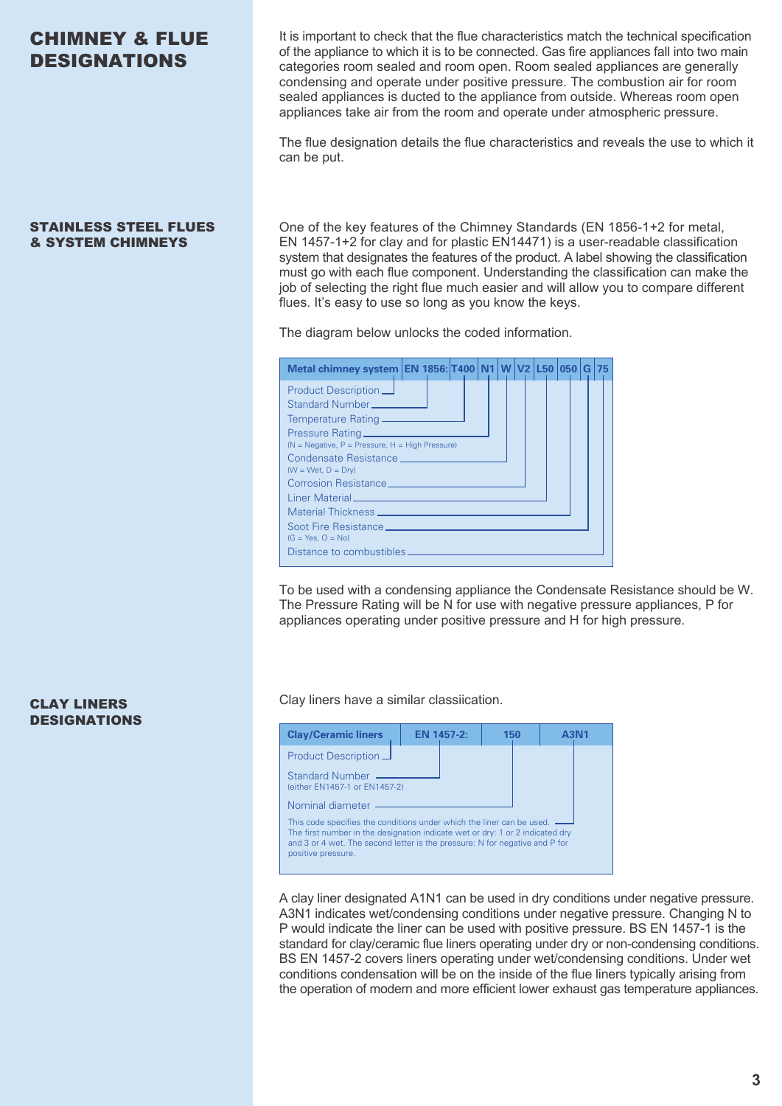# CHIMNEY & FLUE DESIGNATIONS

### STAINLESS STEEL FLUES & SYSTEM CHIMNEYS

It is important to check that the flue characteristics match the technical specification of the appliance to which it is to be connected. Gas fire appliances fall into two main categories room sealed and room open. Room sealed appliances are generally condensing and operate under positive pressure. The combustion air for room sealed appliances is ducted to the appliance from outside. Whereas room open appliances take air from the room and operate under atmospheric pressure.

The flue designation details the flue characteristics and reveals the use to which it can be put.

One of the key features of the Chimney Standards (EN 1856-1+2 for metal, EN 1457-1+2 for clay and for plastic EN14471) is a user-readable classification system that designates the features of the product. A label showing the classification must go with each flue component. Understanding the classification can make the job of selecting the right flue much easier and will allow you to compare different flues. It's easy to use so long as you know the keys.

The diagram below unlocks the coded information.

| Metal chimney system EN 1856: T400 N1 W V2 L50 050 G 75                                                                                                                                                                        |  |  |  |  |  |  |
|--------------------------------------------------------------------------------------------------------------------------------------------------------------------------------------------------------------------------------|--|--|--|--|--|--|
| Product Description $\Box$                                                                                                                                                                                                     |  |  |  |  |  |  |
| Standard Number                                                                                                                                                                                                                |  |  |  |  |  |  |
|                                                                                                                                                                                                                                |  |  |  |  |  |  |
|                                                                                                                                                                                                                                |  |  |  |  |  |  |
| $(N = Negative, P = Pressure, H = High Pressure)$                                                                                                                                                                              |  |  |  |  |  |  |
| Condensate Resistance and the control of the control of the control of the control of the control of the control of the control of the control of the control of the control of the control of the control of the control of t |  |  |  |  |  |  |
| $(W = Wet, D = Dry)$                                                                                                                                                                                                           |  |  |  |  |  |  |
| Corrosion Resistance <b>Corrosion</b> Corrosion Resistance                                                                                                                                                                     |  |  |  |  |  |  |
|                                                                                                                                                                                                                                |  |  |  |  |  |  |
|                                                                                                                                                                                                                                |  |  |  |  |  |  |
|                                                                                                                                                                                                                                |  |  |  |  |  |  |
| $(G = Yes, O = No)$                                                                                                                                                                                                            |  |  |  |  |  |  |
| Distance to combustibles _____                                                                                                                                                                                                 |  |  |  |  |  |  |

To be used with a condensing appliance the Condensate Resistance should be W. The Pressure Rating will be N for use with negative pressure appliances, P for appliances operating under positive pressure and H for high pressure.

**CLAY LINERS** Clay liners have a similar classiication.

| <b>Clay/Ceramic liners</b>                                                                                                                                                                                                                                    | <b>EN 1457-2:</b> |  | 150 |  |  |
|---------------------------------------------------------------------------------------------------------------------------------------------------------------------------------------------------------------------------------------------------------------|-------------------|--|-----|--|--|
| Product Description $\Box$<br>Standard Number                                                                                                                                                                                                                 |                   |  |     |  |  |
| (either EN1457-1 or EN1457-2)<br>Nominal diameter                                                                                                                                                                                                             |                   |  |     |  |  |
| This code specifies the conditions under which the liner can be used. —<br>The first number in the designation indicate wet or dry: 1 or 2 indicated dry<br>and 3 or 4 wet. The second letter is the pressure: N for negative and P for<br>positive pressure. |                   |  |     |  |  |

A clay liner designated A1N1 can be used in dry conditions under negative pressure. A3N1 indicates wet/condensing conditions under negative pressure. Changing N to P would indicate the liner can be used with positive pressure. BS EN 1457-1 is the standard for clay/ceramic flue liners operating under dry or non-condensing conditions. BS EN 1457-2 covers liners operating under wet/condensing conditions. Under wet conditions condensation will be on the inside of the flue liners typically arising from the operation of modern and more efficient lower exhaust gas temperature appliances.

# DESIGNATIONS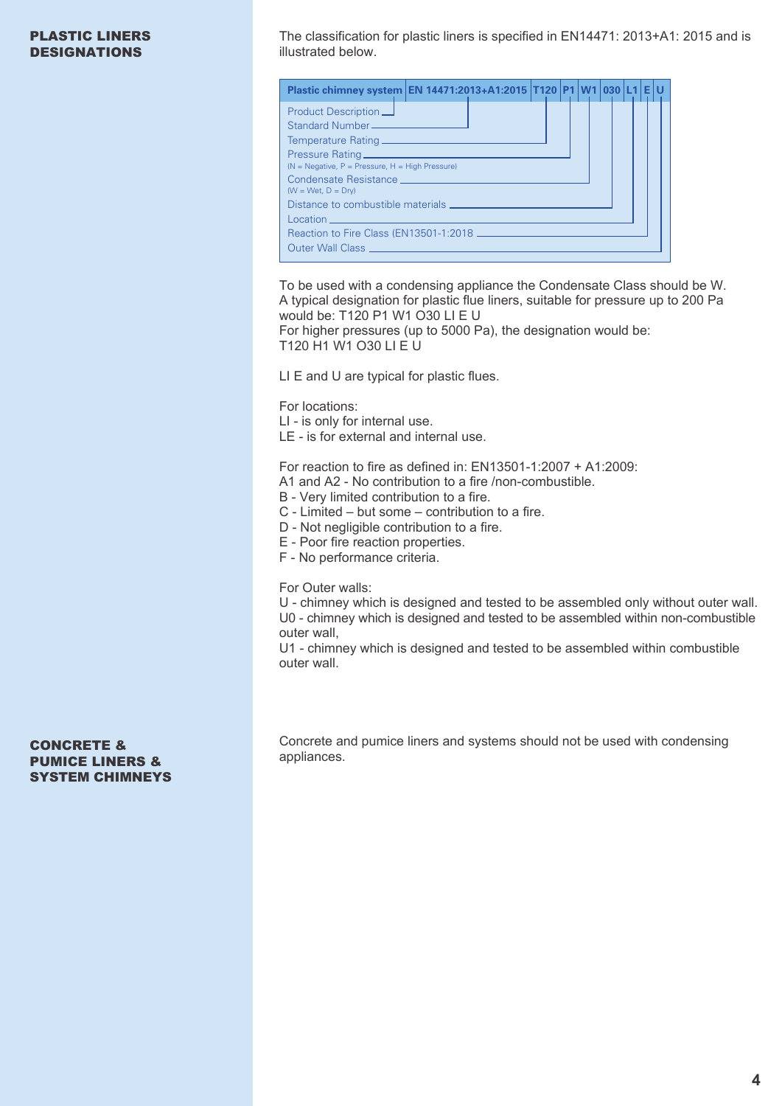# PLASTIC LINERS DESIGNATIONS

The classification for plastic liners is specified in EN14471: 2013+A1: 2015 and is illustrated below.

| Plastic chimney system EN 14471:2013+A1:2015   T120   P1   W1   030   L1   E                                                                                                                                                                                                            |  |  |  |  |  |
|-----------------------------------------------------------------------------------------------------------------------------------------------------------------------------------------------------------------------------------------------------------------------------------------|--|--|--|--|--|
| Product Description $\Box$<br>( $N = Neqative$ , $P = Pressure$ , $H = High Pressure$ )<br>Condensate Resistance <b>Condensate Resistance</b><br>$(W = Wet, D = Dry)$                                                                                                                   |  |  |  |  |  |
| Reaction to Fire Class (EN13501-1:2018 ——————————————<br>Outer Wall Class and the contract of the contract of the contract of the contract of the contract of the contract of the contract of the contract of the contract of the contract of the contract of the contract of the contr |  |  |  |  |  |

To be used with a condensing appliance the Condensate Class should be W. A typical designation for plastic flue liners, suitable for pressure up to 200 Pa would be: T120 P1 W1 O30 LI E U

For higher pressures (up to 5000 Pa), the designation would be: T120 H1 W1 O30 LI E U

LI E and U are typical for plastic flues.

For locations:

LI - is only for internal use.

LE - is for external and internal use.

For reaction to fire as defined in: EN13501-1:2007 + A1:2009:

- A1 and A2 No contribution to a fire /non-combustible.
- B Very limited contribution to a fire.

C - Limited – but some – contribution to a fire.

D - Not negligible contribution to a fire.

E - Poor fire reaction properties.

F - No performance criteria.

For Outer walls:

U - chimney which is designed and tested to be assembled only without outer wall. U0 - chimney which is designed and tested to be assembled within non-combustible outer wall,

U1 - chimney which is designed and tested to be assembled within combustible outer wall.

CONCRETE & PUMICE LINERS & SYSTEM CHIMNEYS Concrete and pumice liners and systems should not be used with condensing appliances.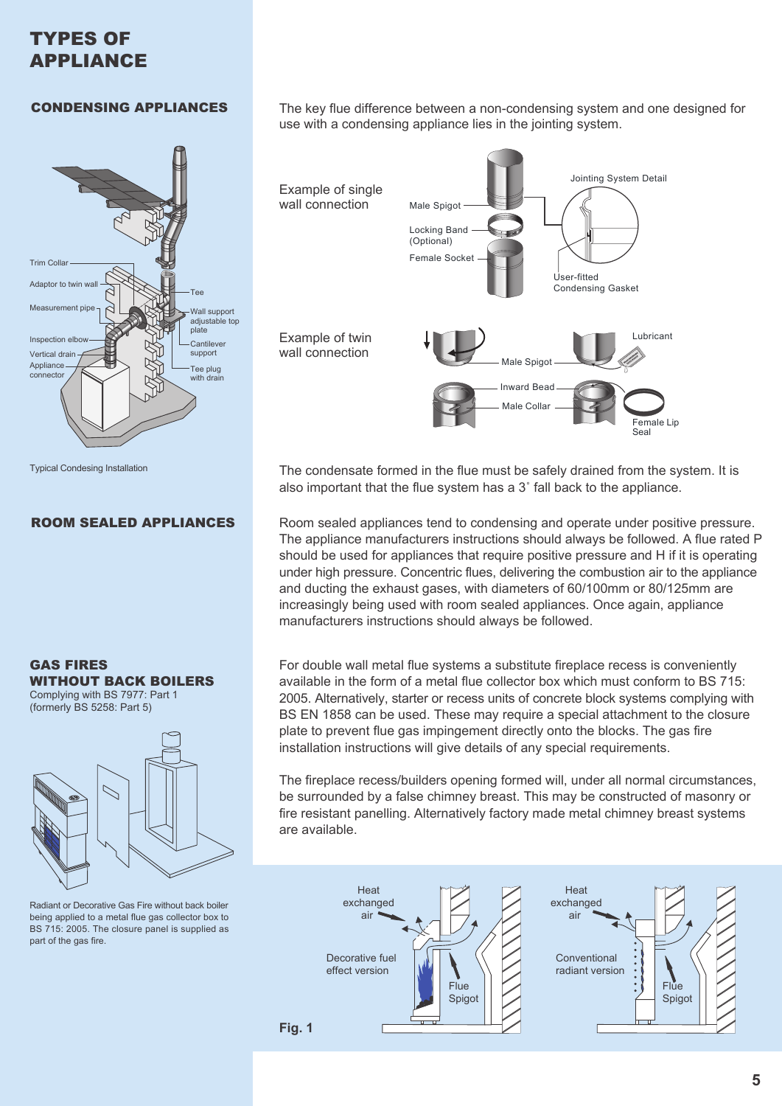# TYPES OF APPLIANCE

# CONDENSING APPLIANCES



Typical Condesing Installation

# ROOM SEALED APPLIANCES





Radiant or Decorative Gas Fire without back boiler being applied to a metal flue gas collector box to BS 715: 2005. The closure panel is supplied as part of the gas fire.

The key flue difference between a non-condensing system and one designed for use with a condensing appliance lies in the jointing system.



The condensate formed in the flue must be safely drained from the system. It is also important that the flue system has a 3˚ fall back to the appliance.

Room sealed appliances tend to condensing and operate under positive pressure. The appliance manufacturers instructions should always be followed. A flue rated P should be used for appliances that require positive pressure and H if it is operating under high pressure. Concentric flues, delivering the combustion air to the appliance and ducting the exhaust gases, with diameters of 60/100mm or 80/125mm are increasingly being used with room sealed appliances. Once again, appliance manufacturers instructions should always be followed.

For double wall metal flue systems a substitute fireplace recess is conveniently available in the form of a metal flue collector box which must conform to BS 715: 2005. Alternatively, starter or recess units of concrete block systems complying with BS EN 1858 can be used. These may require a special attachment to the closure plate to prevent flue gas impingement directly onto the blocks. The gas fire installation instructions will give details of any special requirements.

The fireplace recess/builders opening formed will, under all normal circumstances, be surrounded by a false chimney breast. This may be constructed of masonry or fire resistant panelling. Alternatively factory made metal chimney breast systems are available.

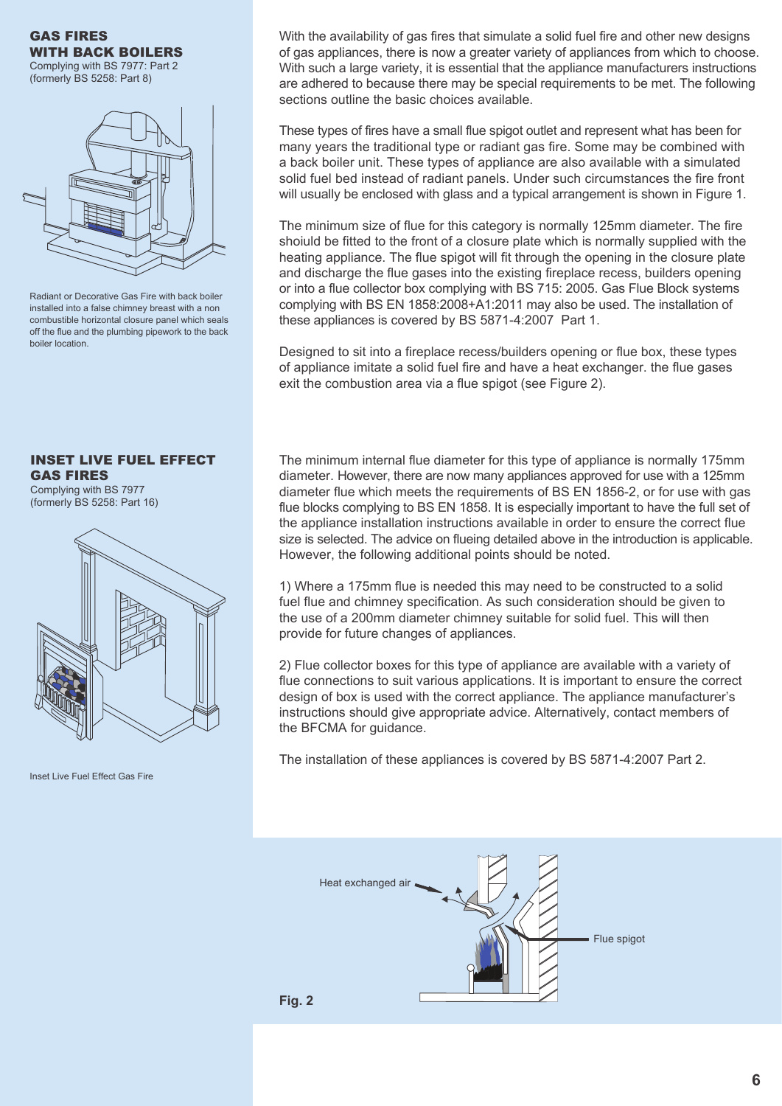GAS FIRES WITH BACK BOILERS Complying with BS 7977: Part 2 (formerly BS 5258: Part 8)

Radiant or Decorative Gas Fire with back boiler installed into a false chimney breast with a non combustible horizontal closure panel which seals off the flue and the plumbing pipework to the back boiler location.

INSET LIVE FUEL EFFECT GAS FIRES

Complying with BS 7977 (formerly BS 5258: Part 16)



Inset Live Fuel Effect Gas Fire

With the availability of gas fires that simulate a solid fuel fire and other new designs of gas appliances, there is now a greater variety of appliances from which to choose. With such a large variety, it is essential that the appliance manufacturers instructions are adhered to because there may be special requirements to be met. The following sections outline the basic choices available.

These types of fires have a small flue spigot outlet and represent what has been for many years the traditional type or radiant gas fire. Some may be combined with a back boiler unit. These types of appliance are also available with a simulated solid fuel bed instead of radiant panels. Under such circumstances the fire front will usually be enclosed with glass and a typical arrangement is shown in Figure 1.

The minimum size of flue for this category is normally 125mm diameter. The fire shoiuld be fitted to the front of a closure plate which is normally supplied with the heating appliance. The flue spigot will fit through the opening in the closure plate and discharge the flue gases into the existing fireplace recess, builders opening or into a flue collector box complying with BS 715: 2005. Gas Flue Block systems complying with BS EN 1858:2008+A1:2011 may also be used. The installation of these appliances is covered by BS 5871-4:2007 Part 1.

Designed to sit into a fireplace recess/builders opening or flue box, these types of appliance imitate a solid fuel fire and have a heat exchanger. the flue gases exit the combustion area via a flue spigot (see Figure 2).

The minimum internal flue diameter for this type of appliance is normally 175mm diameter. However, there are now many appliances approved for use with a 125mm diameter flue which meets the requirements of BS EN 1856-2, or for use with gas flue blocks complying to BS EN 1858. It is especially important to have the full set of the appliance installation instructions available in order to ensure the correct flue size is selected. The advice on flueing detailed above in the introduction is applicable. However, the following additional points should be noted.

1) Where a 175mm flue is needed this may need to be constructed to a solid fuel flue and chimney specification. As such consideration should be given to the use of a 200mm diameter chimney suitable for solid fuel. This will then provide for future changes of appliances.

2) Flue collector boxes for this type of appliance are available with a variety of flue connections to suit various applications. It is important to ensure the correct design of box is used with the correct appliance. The appliance manufacturer's instructions should give appropriate advice. Alternatively, contact members of the BFCMA for guidance.

The installation of these appliances is covered by BS 5871-4:2007 Part 2.

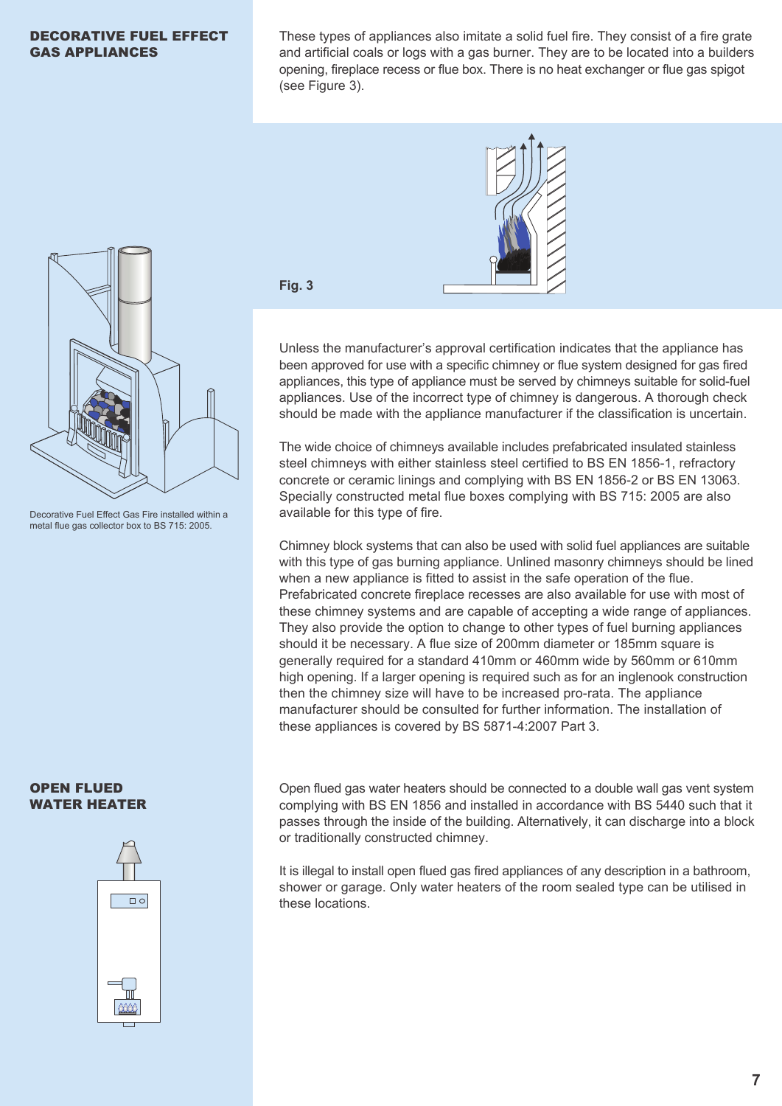### DECORATIVE FUEL EFFECT GAS APPLIANCES

These types of appliances also imitate a solid fuel fire. They consist of a fire grate and artificial coals or logs with a gas burner. They are to be located into a builders opening, fireplace recess or flue box. There is no heat exchanger or flue gas spigot (see Figure 3).



Decorative Fuel Effect Gas Fire installed within a metal flue gas collector box to BS 715: 2005.

### OPEN FLUED WATER HEATER



**Fig. 3**

Unless the manufacturer's approval certification indicates that the appliance has been approved for use with a specific chimney or flue system designed for gas fired appliances, this type of appliance must be served by chimneys suitable for solid-fuel appliances. Use of the incorrect type of chimney is dangerous. A thorough check should be made with the appliance manufacturer if the classification is uncertain.

The wide choice of chimneys available includes prefabricated insulated stainless steel chimneys with either stainless steel certified to BS EN 1856-1, refractory concrete or ceramic linings and complying with BS EN 1856-2 or BS EN 13063. Specially constructed metal flue boxes complying with BS 715: 2005 are also available for this type of fire.

Chimney block systems that can also be used with solid fuel appliances are suitable with this type of gas burning appliance. Unlined masonry chimneys should be lined when a new appliance is fitted to assist in the safe operation of the flue. Prefabricated concrete fireplace recesses are also available for use with most of these chimney systems and are capable of accepting a wide range of appliances. They also provide the option to change to other types of fuel burning appliances should it be necessary. A flue size of 200mm diameter or 185mm square is generally required for a standard 410mm or 460mm wide by 560mm or 610mm high opening. If a larger opening is required such as for an inglenook construction then the chimney size will have to be increased pro-rata. The appliance manufacturer should be consulted for further information. The installation of these appliances is covered by BS 5871-4:2007 Part 3.

Open flued gas water heaters should be connected to a double wall gas vent system complying with BS EN 1856 and installed in accordance with BS 5440 such that it passes through the inside of the building. Alternatively, it can discharge into a block or traditionally constructed chimney.

It is illegal to install open flued gas fired appliances of any description in a bathroom, shower or garage. Only water heaters of the room sealed type can be utilised in these locations.

**7**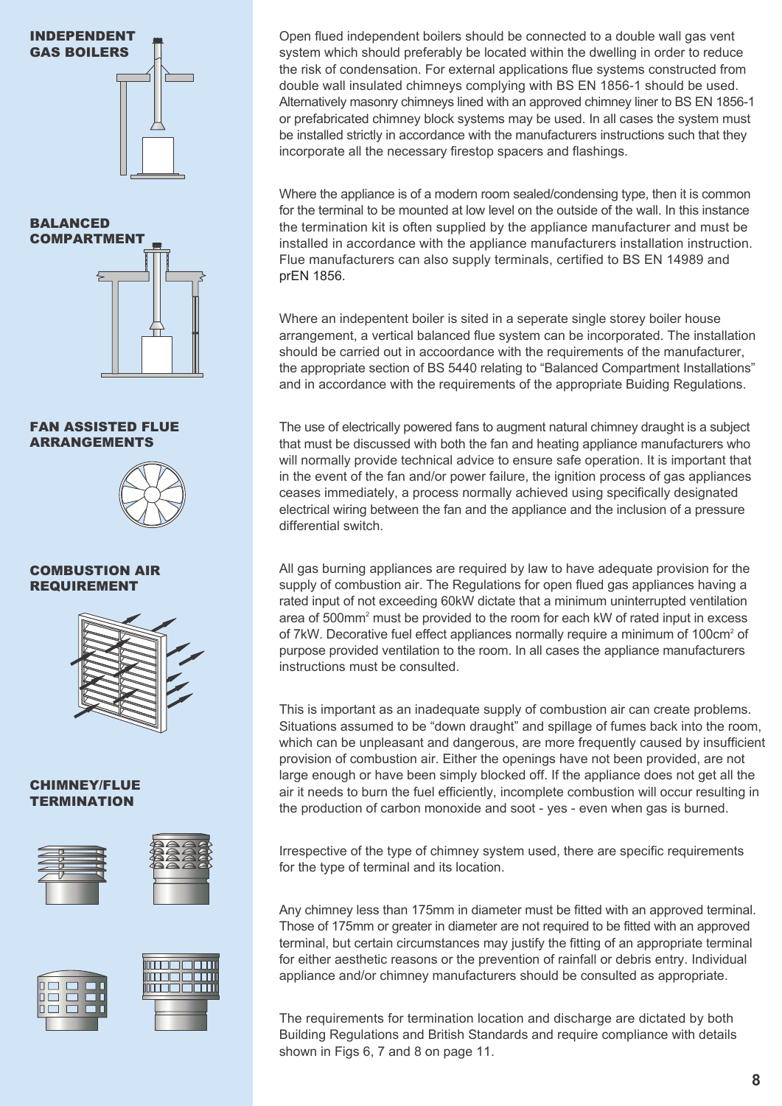



### FAN ASSISTED FLUE ARRANGEMENTS



### COMBUSTION AIR REQUIREMENT



### CHIMNEY/FLUE **TERMINATION**







Open flued independent boilers should be connected to a double wall gas vent system which should preferably be located within the dwelling in order to reduce the risk of condensation. For external applications flue systems constructed from double wall insulated chimneys complying with BS EN 1856-1 should be used. Alternatively masonry chimneys lined with an approved chimney liner to BS EN 1856-1 or prefabricated chimney block systems may be used. In all cases the system must be installed strictly in accordance with the manufacturers instructions such that they incorporate all the necessary firestop spacers and flashings.

Where the appliance is of a modern room sealed/condensing type, then it is common for the terminal to be mounted at low level on the outside of the wall. In this instance the termination kit is often supplied by the appliance manufacturer and must be installed in accordance with the appliance manufacturers installation instruction. Flue manufacturers can also supply terminals, certified to BS EN 14989 and prEN 1856.

Where an indepentent boiler is sited in a seperate single storey boiler house arrangement, a vertical balanced flue system can be incorporated. The installation should be carried out in accoordance with the requirements of the manufacturer, the appropriate section of BS 5440 relating to "Balanced Compartment Installations" and in accordance with the requirements of the appropriate Buiding Regulations.

The use of electrically powered fans to augment natural chimney draught is a subject that must be discussed with both the fan and heating appliance manufacturers who will normally provide technical advice to ensure safe operation. It is important that in the event of the fan and/or power failure, the ignition process of gas appliances ceases immediately, a process normally achieved using specifically designated electrical wiring between the fan and the appliance and the inclusion of a pressure differential switch.

All gas burning appliances are required by law to have adequate provision for the supply of combustion air. The Regulations for open flued gas appliances having a rated input of not exceeding 60kW dictate that a minimum uninterrupted ventilation area of 500mm<sup>2</sup> must be provided to the room for each kW of rated input in excess of 7kW. Decorative fuel effect appliances normally require a minimum of 100cm<sup>2</sup> of purpose provided ventilation to the room. In all cases the appliance manufacturers instructions must be consulted.

This is important as an inadequate supply of combustion air can create problems. Situations assumed to be "down draught" and spillage of fumes back into the room, which can be unpleasant and dangerous, are more frequently caused by insufficient provision of combustion air. Either the openings have not been provided, are not large enough or have been simply blocked off. If the appliance does not get all the air it needs to burn the fuel efficiently, incomplete combustion will occur resulting in the production of carbon monoxide and soot - yes - even when gas is burned.

Irrespective of the type of chimney system used, there are specific requirements for the type of terminal and its location.

Any chimney less than 175mm in diameter must be fitted with an approved terminal. Those of 175mm or greater in diameter are not required to be fitted with an approved terminal, but certain circumstances may justify the fitting of an appropriate terminal for either aesthetic reasons or the prevention of rainfall or debris entry. Individual appliance and/or chimney manufacturers should be consulted as appropriate.

The requirements for termination location and discharge are dictated by both Building Regulations and British Standards and require compliance with details shown in Figs 6, 7 and 8 on page 11.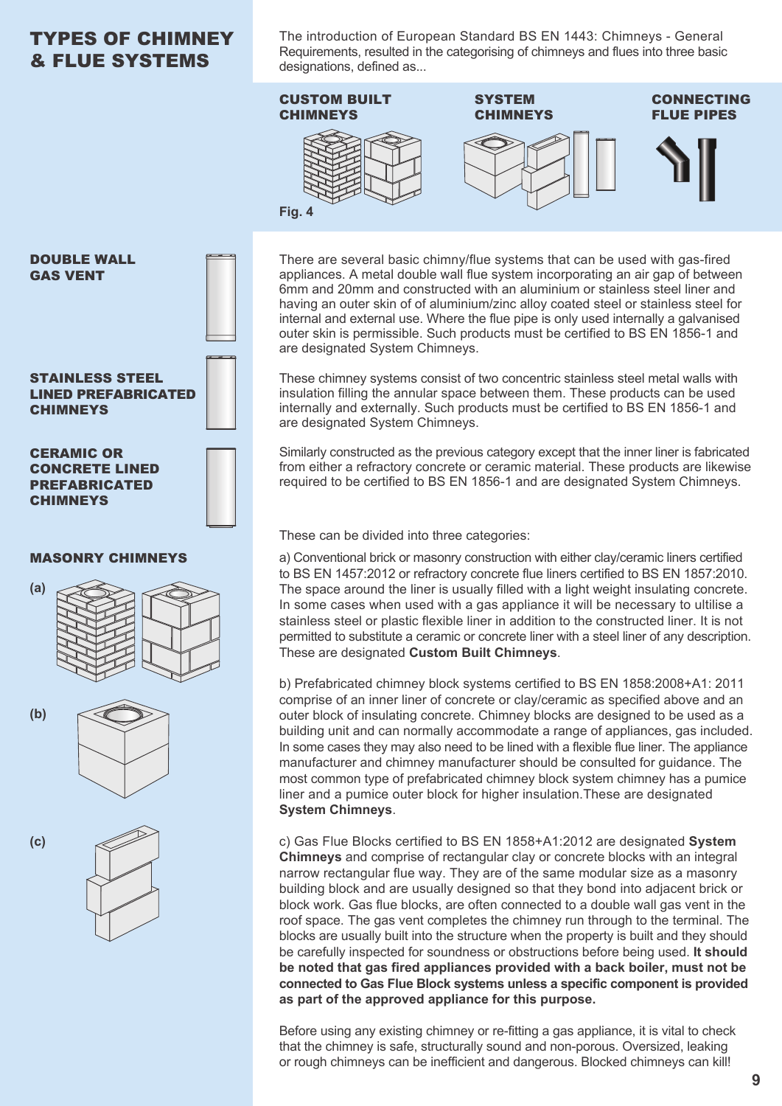# TYPES OF CHIMNEY & FLUE SYSTEMS

The introduction of European Standard BS EN 1443: Chimneys - General Requirements, resulted in the categorising of chimneys and flues into three basic designations, defined as...



These chimney systems consist of two concentric stainless steel metal walls with insulation filling the annular space between them. These products can be used internally and externally. Such products must be certified to BS EN 1856-1 and are designated System Chimneys.

Similarly constructed as the previous category except that the inner liner is fabricated from either a refractory concrete or ceramic material. These products are likewise required to be certified to BS EN 1856-1 and are designated System Chimneys.

These can be divided into three categories:

a) Conventional brick or masonry construction with either clay/ceramic liners certified to BS EN 1457:2012 or refractory concrete flue liners certified to BS EN 1857:2010. The space around the liner is usually filled with a light weight insulating concrete. In some cases when used with a gas appliance it will be necessary to ultilise a stainless steel or plastic flexible liner in addition to the constructed liner. It is not permitted to substitute a ceramic or concrete liner with a steel liner of any description. These are designated **Custom Built Chimneys**.

b) Prefabricated chimney block systems certified to BS EN 1858:2008+A1: 2011 comprise of an inner liner of concrete or clay/ceramic as specified above and an outer block of insulating concrete. Chimney blocks are designed to be used as a building unit and can normally accommodate a range of appliances, gas included. In some cases they may also need to be lined with a flexible flue liner. The appliance manufacturer and chimney manufacturer should be consulted for guidance. The most common type of prefabricated chimney block system chimney has a pumice liner and a pumice outer block for higher insulation.These are designated **System Chimneys**.

c) Gas Flue Blocks certified to BS EN 1858+A1:2012 are designated **System Chimneys** and comprise of rectangular clay or concrete blocks with an integral narrow rectangular flue way. They are of the same modular size as a masonry building block and are usually designed so that they bond into adjacent brick or block work. Gas flue blocks, are often connected to a double wall gas vent in the roof space. The gas vent completes the chimney run through to the terminal. The blocks are usually built into the structure when the property is built and they should be carefully inspected for soundness or obstructions before being used. **It should be noted that gas fired appliances provided with a back boiler, must not be connected to Gas Flue Block systems unless a specific component is provided as part of the approved appliance for this purpose.**

Before using any existing chimney or re-fitting a gas appliance, it is vital to check that the chimney is safe, structurally sound and non-porous. Oversized, leaking or rough chimneys can be inefficient and dangerous. Blocked chimneys can kill!

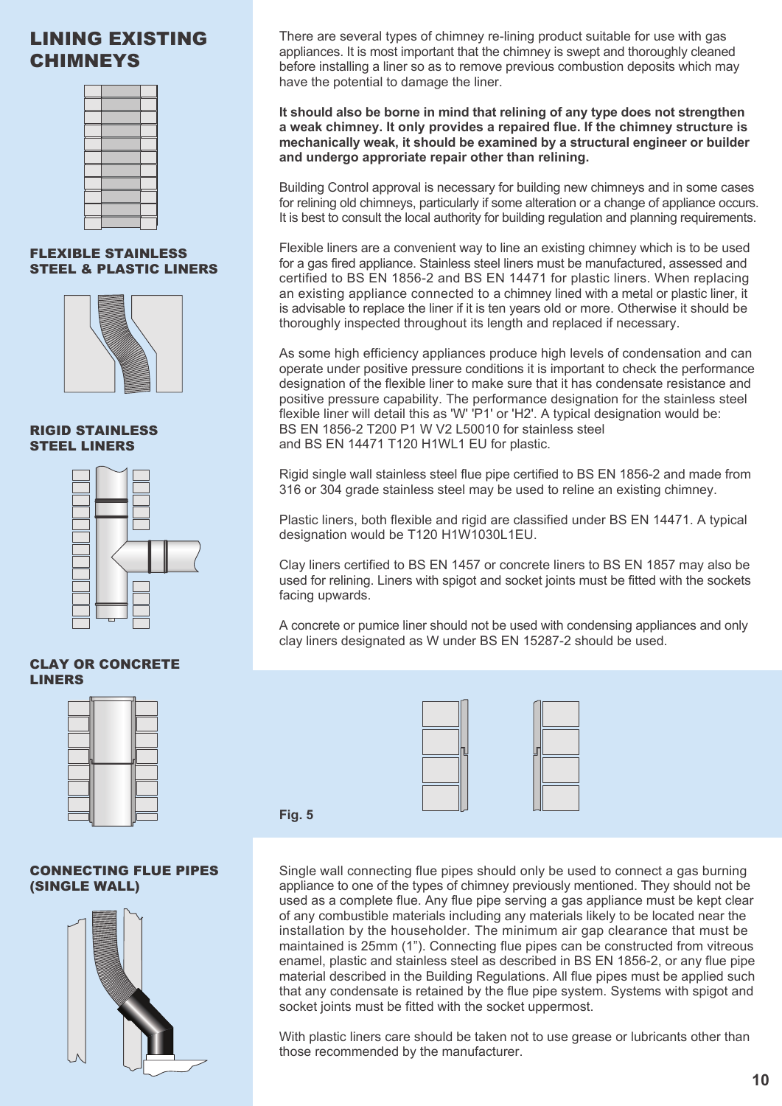# LINING EXISTING CHIMNEYS



# FLEXIBLE STAINLESS STEEL & PLASTIC LINERS



RIGID STAINLESS STEEL LINERS



# CLAY OR CONCRETE LINERS



CONNECTING FLUE PIPES (SINGLE WALL)



There are several types of chimney re-lining product suitable for use with gas appliances. It is most important that the chimney is swept and thoroughly cleaned before installing a liner so as to remove previous combustion deposits which may have the potential to damage the liner.

**It should also be borne in mind that relining of any type does not strengthen a weak chimney. It only provides a repaired flue. If the chimney structure is mechanically weak, it should be examined by a structural engineer or builder and undergo approriate repair other than relining.**

Building Control approval is necessary for building new chimneys and in some cases for relining old chimneys, particularly if some alteration or a change of appliance occurs. It is best to consult the local authority for building regulation and planning requirements.

Flexible liners are a convenient way to line an existing chimney which is to be used for a gas fired appliance. Stainless steel liners must be manufactured, assessed and certified to BS EN 1856-2 and BS EN 14471 for plastic liners. When replacing an existing appliance connected to a chimney lined with a metal or plastic liner, it is advisable to replace the liner if it is ten years old or more. Otherwise it should be thoroughly inspected throughout its length and replaced if necessary.

As some high efficiency appliances produce high levels of condensation and can operate under positive pressure conditions it is important to check the performance designation of the flexible liner to make sure that it has condensate resistance and positive pressure capability. The performance designation for the stainless steel flexible liner will detail this as 'W' 'P1' or 'H2'. A typical designation would be: BS EN 1856-2 T200 P1 W V2 L50010 for stainless steel and BS EN 14471 T120 H1WL1 EU for plastic.

Rigid single wall stainless steel flue pipe certified to BS EN 1856-2 and made from 316 or 304 grade stainless steel may be used to reline an existing chimney.

Plastic liners, both flexible and rigid are classified under BS EN 14471. A typical designation would be T120 H1W1030L1EU.

Clay liners certified to BS EN 1457 or concrete liners to BS EN 1857 may also be used for relining. Liners with spigot and socket joints must be fitted with the sockets facing upwards.

A concrete or pumice liner should not be used with condensing appliances and only clay liners designated as W under BS EN 15287-2 should be used.

**Fig. 5**



Single wall connecting flue pipes should only be used to connect a gas burning appliance to one of the types of chimney previously mentioned. They should not be used as a complete flue. Any flue pipe serving a gas appliance must be kept clear of any combustible materials including any materials likely to be located near the installation by the householder. The minimum air gap clearance that must be maintained is 25mm (1"). Connecting flue pipes can be constructed from vitreous enamel, plastic and stainless steel as described in BS EN 1856-2, or any flue pipe material described in the Building Regulations. All flue pipes must be applied such that any condensate is retained by the flue pipe system. Systems with spigot and socket joints must be fitted with the socket uppermost.

With plastic liners care should be taken not to use grease or lubricants other than those recommended by the manufacturer.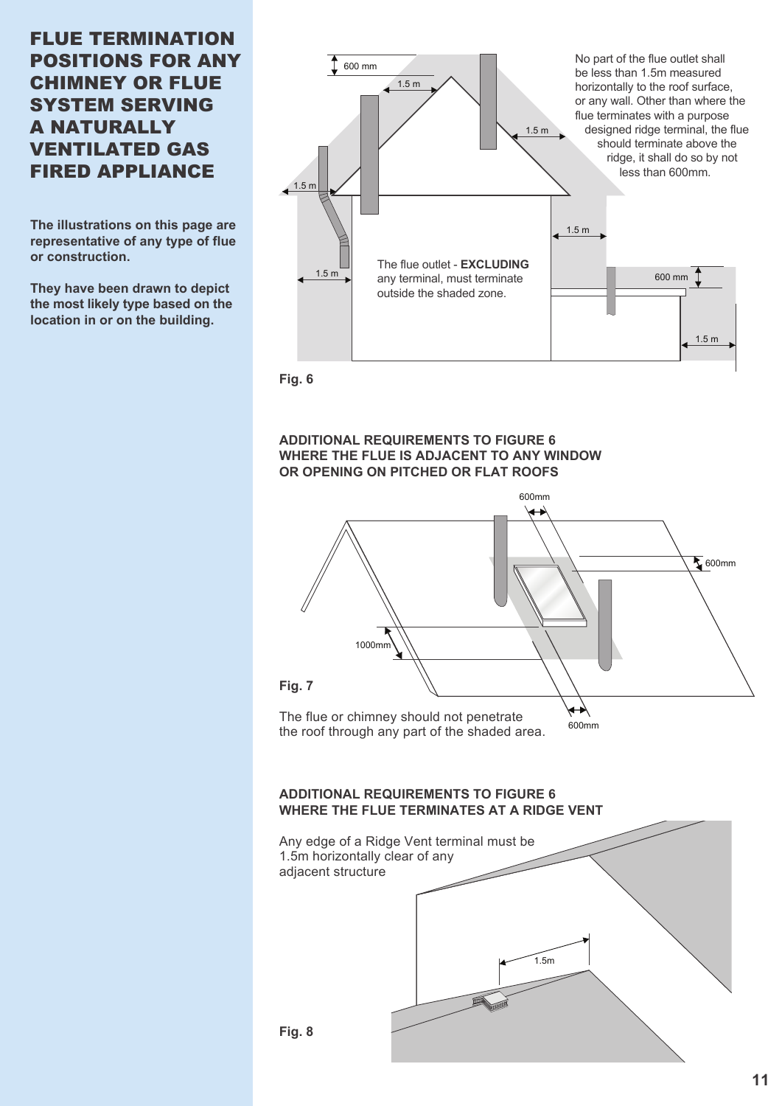# FLUE TERMINATION POSITIONS FOR ANY CHIMNEY OR FLUE SYSTEM SERVING A NATURALLY VENTILATED GAS FIRED APPLIANCE

**The illustrations on this page are representative of any type of flue or construction.**

**They have been drawn to depict the most likely type based on the location in or on the building.**



**Fig. 6**

### **ADDITIONAL REQUIREMENTS TO FIGURE 6 WHERE THE FLUE IS ADJACENT TO ANY WINDOW OR OPENING ON PITCHED OR FLAT ROOFS**



# **ADDITIONAL REQUIREMENTS TO FIGURE 6 WHERE THE FLUE TERMINATES AT A RIDGE VENT**

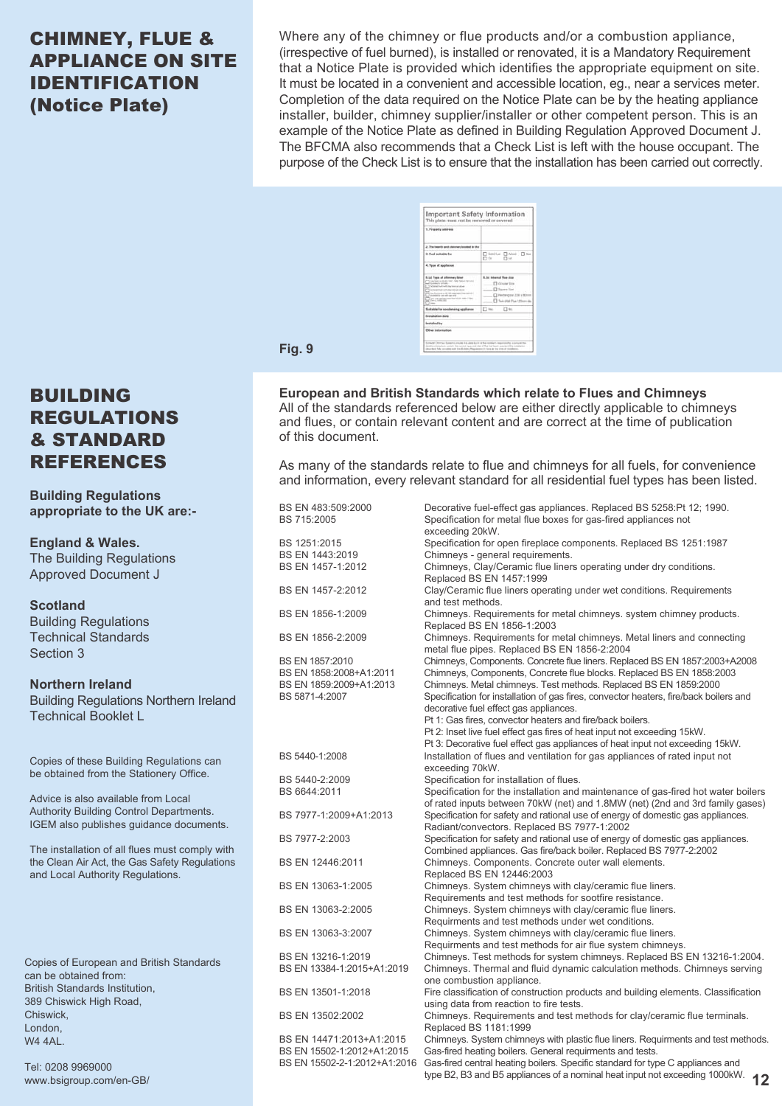# CHIMNEY, FLUE & APPLIANCE ON SITE IDENTIFICATION (Notice Plate)

Where any of the chimney or flue products and/or a combustion appliance, (irrespective of fuel burned), is installed or renovated, it is a Mandatory Requirement that a Notice Plate is provided which identifies the appropriate equipment on site. It must be located in a convenient and accessible location, eg., near a services meter. Completion of the data required on the Notice Plate can be by the heating appliance installer, builder, chimney supplier/installer or other competent person. This is an example of the Notice Plate as defined in Building Regulation Approved Document J. The BFCMA also recommends that a Check List is left with the house occupant. The purpose of the Check List is to ensure that the installation has been carried out correctly.

| 1. Property address:                                                                                                                                                                                                                                                                                                                                     |                                                                                                                          |
|----------------------------------------------------------------------------------------------------------------------------------------------------------------------------------------------------------------------------------------------------------------------------------------------------------------------------------------------------------|--------------------------------------------------------------------------------------------------------------------------|
| 2. The bearth and chinewy booted in the                                                                                                                                                                                                                                                                                                                  |                                                                                                                          |
| 3. Fuel suitable for                                                                                                                                                                                                                                                                                                                                     | lots Let C West C Day<br>P1 for<br><b>FT</b> AA                                                                          |
| 4. Type of appliance.                                                                                                                                                                                                                                                                                                                                    |                                                                                                                          |
| 5.141 Topics of oblimately listed<br>Cale from to 60,046 today, nada Abutub 40<br>Grades to at half-<br>Schussie fough with only become about<br>the transit filled and collect index on the site<br>the Automotive wild list executively free relation (<br>They can resident marches field to reach 15 per<br>Telephone Chrysler State<br><b>Texas</b> | 6.3d Internal flow also<br>City, Air Street<br><b>Institute Street</b><br>Hechergular 228 s 16<br>Tais (Fiat Flux 123 or |
| Suitable for contentaing septiance                                                                                                                                                                                                                                                                                                                       | $\Box$ inc.<br>$\Box$ the                                                                                                |
| stallation date                                                                                                                                                                                                                                                                                                                                          |                                                                                                                          |
| <b>Installed by</b>                                                                                                                                                                                                                                                                                                                                      |                                                                                                                          |
| Other information                                                                                                                                                                                                                                                                                                                                        |                                                                                                                          |

**Fig. 9**

**European and British Standards which relate to Flues and Chimneys** All of the standards referenced below are either directly applicable to chimneys and flues, or contain relevant content and are correct at the time of publication of this document.

As many of the standards relate to flue and chimneys for all fuels, for convenience and information, every relevant standard for all residential fuel types has been listed.

| BS EN 483:509:2000<br>BS 715:2005 | Decorative fuel-effect gas appliances. Replaced BS 5258:Pt 12; 1990.<br>Specification for metal flue boxes for gas-fired appliances not<br>exceeding 20kW.                                                      |
|-----------------------------------|-----------------------------------------------------------------------------------------------------------------------------------------------------------------------------------------------------------------|
| BS 1251:2015                      | Specification for open fireplace components. Replaced BS 1251:1987                                                                                                                                              |
| BS EN 1443:2019                   | Chimneys - general requirements.                                                                                                                                                                                |
| BS EN 1457-1:2012                 | Chimneys, Clay/Ceramic flue liners operating under dry conditions.<br>Replaced BS EN 1457:1999                                                                                                                  |
| BS EN 1457-2:2012                 | Clay/Ceramic flue liners operating under wet conditions. Requirements<br>and test methods.                                                                                                                      |
| BS EN 1856-1:2009                 | Chimneys. Requirements for metal chimneys. system chimney products.<br>Replaced BS EN 1856-1:2003                                                                                                               |
| BS EN 1856-2:2009                 | Chimneys. Requirements for metal chimneys. Metal liners and connecting<br>metal flue pipes. Replaced BS EN 1856-2:2004                                                                                          |
| BS EN 1857:2010                   | Chimneys, Components. Concrete flue liners. Replaced BS EN 1857:2003+A2008                                                                                                                                      |
| BS EN 1858:2008+A1:2011           | Chimneys, Components, Concrete flue blocks. Replaced BS EN 1858:2003                                                                                                                                            |
| BS EN 1859:2009+A1:2013           | Chimneys. Metal chimneys. Test methods. Replaced BS EN 1859:2000                                                                                                                                                |
| BS 5871-4:2007                    | Specification for installation of gas fires, convector heaters, fire/back boilers and<br>decorative fuel effect gas appliances.                                                                                 |
|                                   | Pt 1: Gas fires, convector heaters and fire/back boilers.                                                                                                                                                       |
|                                   | Pt 2: Inset live fuel effect gas fires of heat input not exceeding 15kW.                                                                                                                                        |
|                                   | Pt 3: Decorative fuel effect gas appliances of heat input not exceeding 15kW.                                                                                                                                   |
| BS 5440-1:2008                    | Installation of flues and ventilation for gas appliances of rated input not                                                                                                                                     |
|                                   | exceeding 70kW.                                                                                                                                                                                                 |
| BS 5440-2:2009                    | Specification for installation of flues.                                                                                                                                                                        |
| BS 6644:2011                      | Specification for the installation and maintenance of gas-fired hot water boilers                                                                                                                               |
| BS 7977-1:2009+A1:2013            | of rated inputs between 70kW (net) and 1.8MW (net) (2nd and 3rd family gases)<br>Specification for safety and rational use of energy of domestic gas appliances.<br>Radiant/convectors. Replaced BS 7977-1:2002 |
| BS 7977-2:2003                    | Specification for safety and rational use of energy of domestic gas appliances.<br>Combined appliances. Gas fire/back boiler. Replaced BS 7977-2:2002                                                           |
| BS EN 12446:2011                  | Chimneys. Components. Concrete outer wall elements.<br>Replaced BS EN 12446:2003                                                                                                                                |
| BS EN 13063-1:2005                | Chimneys. System chimneys with clay/ceramic flue liners.                                                                                                                                                        |
|                                   | Requirements and test methods for sootfire resistance.                                                                                                                                                          |
| BS EN 13063-2:2005                | Chimneys. System chimneys with clay/ceramic flue liners.                                                                                                                                                        |
|                                   | Requirments and test methods under wet conditions.                                                                                                                                                              |
| BS EN 13063-3:2007                | Chimneys. System chimneys with clay/ceramic flue liners.                                                                                                                                                        |
|                                   | Requirments and test methods for air flue system chimneys.                                                                                                                                                      |
| BS EN 13216-1:2019                | Chimneys. Test methods for system chimneys. Replaced BS EN 13216-1:2004.                                                                                                                                        |
| BS EN 13384-1:2015+A1:2019        | Chimneys. Thermal and fluid dynamic calculation methods. Chimneys serving<br>one combustion appliance.                                                                                                          |
| BS EN 13501-1:2018                | Fire classification of construction products and building elements. Classification<br>using data from reaction to fire tests.                                                                                   |
| BS EN 13502:2002                  | Chimneys. Requirements and test methods for clay/ceramic flue terminals.<br>Replaced BS 1181:1999                                                                                                               |
| BS EN 14471:2013+A1:2015          | Chimneys. System chimneys with plastic flue liners. Requirments and test methods.                                                                                                                               |
| BS EN 15502-1:2012+A1:2015        | Gas-fired heating boilers. General requirments and tests.                                                                                                                                                       |
| BS EN 15502-2-1:2012+A1:2016      | Gas-fired central heating boilers. Specific standard for type C appliances and<br>type B2, B3 and B5 appliances of a nominal heat input not exceeding 1000kW.<br>12                                             |

# BUILDING REGULATIONS & STANDARD REFERENCES

**Building Regulations appropriate to the UK are:-**

**England & Wales.** The Building Regulations Approved Document J

**Scotland** Building Regulations Technical Standards Section 3

**Northern Ireland** Building Regulations Northern Ireland Technical Booklet L

Copies of these Building Regulations can be obtained from the Stationery Office.

Advice is also available from Local Authority Building Control Departments. IGEM also publishes guidance documents.

The installation of all flues must comply with the Clean Air Act, the Gas Safety Regulations and Local Authority Regulations.

Copies of European and British Standards can be obtained from: British Standards Institution, 389 Chiswick High Road, **Chiswick** London, W4 4AL.

Tel: 0208 9969000 www.bsigroup.com/en-GB/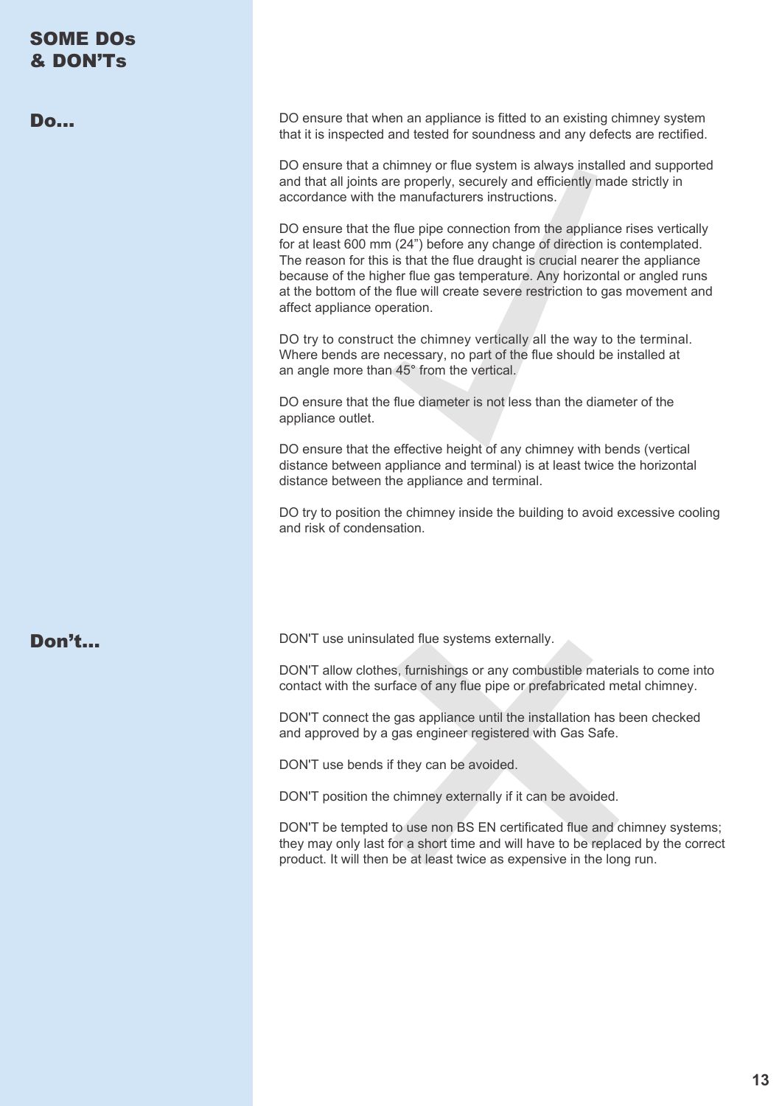| <b>SOME DOS</b><br>& DON'Ts |                                                                                                                                                                                                                                                                                                                                                                                                                                      |
|-----------------------------|--------------------------------------------------------------------------------------------------------------------------------------------------------------------------------------------------------------------------------------------------------------------------------------------------------------------------------------------------------------------------------------------------------------------------------------|
| <b>Do</b>                   | DO ensure that when an appliance is fitted to an existing chimney system<br>that it is inspected and tested for soundness and any defects are rectified.                                                                                                                                                                                                                                                                             |
|                             | DO ensure that a chimney or flue system is always installed and supported<br>and that all joints are properly, securely and efficiently made strictly in<br>accordance with the manufacturers instructions.                                                                                                                                                                                                                          |
|                             | DO ensure that the flue pipe connection from the appliance rises vertically<br>for at least 600 mm (24") before any change of direction is contemplated.<br>The reason for this is that the flue draught is crucial nearer the appliance<br>because of the higher flue gas temperature. Any horizontal or angled runs<br>at the bottom of the flue will create severe restriction to gas movement and<br>affect appliance operation. |
|                             | DO try to construct the chimney vertically all the way to the terminal.<br>Where bends are necessary, no part of the flue should be installed at<br>an angle more than 45° from the vertical.                                                                                                                                                                                                                                        |
|                             | DO ensure that the flue diameter is not less than the diameter of the<br>appliance outlet.                                                                                                                                                                                                                                                                                                                                           |
|                             | DO ensure that the effective height of any chimney with bends (vertical<br>distance between appliance and terminal) is at least twice the horizontal<br>distance between the appliance and terminal.                                                                                                                                                                                                                                 |
|                             | DO try to position the chimney inside the building to avoid excessive cooling<br>and risk of condensation.                                                                                                                                                                                                                                                                                                                           |
|                             |                                                                                                                                                                                                                                                                                                                                                                                                                                      |
| Don't                       | DON'T use uninsulated flue systems externally.                                                                                                                                                                                                                                                                                                                                                                                       |
|                             | DON'T allow clothes, furnishings or any combustible materials to come into<br>contact with the surface of any flue pipe or prefabricated metal chimney.                                                                                                                                                                                                                                                                              |
|                             | DON'T connect the gas appliance until the installation has been checked<br>and approved by a gas engineer registered with Gas Safe.                                                                                                                                                                                                                                                                                                  |
|                             | DON'T use bends if they can be avoided.                                                                                                                                                                                                                                                                                                                                                                                              |
|                             | DON'T position the chimney externally if it can be avoided.                                                                                                                                                                                                                                                                                                                                                                          |
|                             | DON'T be tempted to use non BS EN certificated flue and chimney systems;<br>they may only last for a short time and will have to be replaced by the correct<br>product. It will then be at least twice as expensive in the long run.                                                                                                                                                                                                 |
|                             |                                                                                                                                                                                                                                                                                                                                                                                                                                      |